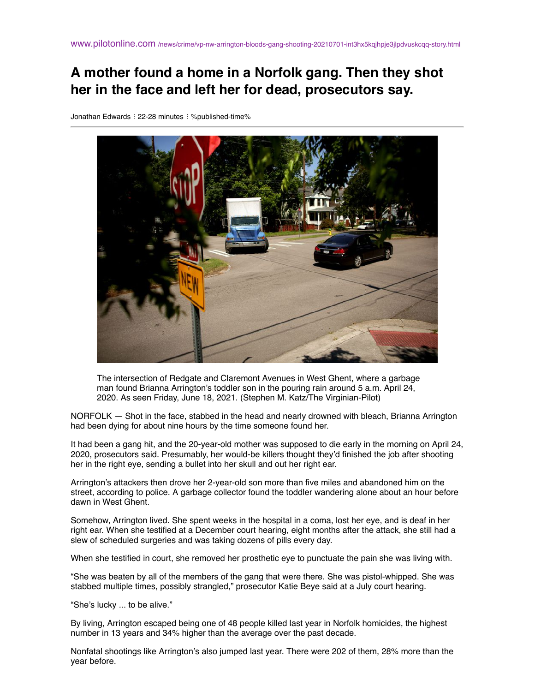# **A mother found a home in a Norfolk gang. Then they shot her in the face and left her for dead, prosecutors say.**

Jonathan Edwards : 22-28 minutes : %published-time%



The intersection of Redgate and Claremont Avenues in West Ghent, where a garbage man found Brianna Arrington's toddler son in the pouring rain around 5 a.m. April 24, 2020. As seen Friday, June 18, 2021. (Stephen M. Katz/The Virginian-Pilot)

NORFOLK — Shot in the face, stabbed in the head and nearly drowned with bleach, Brianna Arrington had been dying for about nine hours by the time someone found her.

It had been a gang hit, and the 20-year-old mother was supposed to die early in the morning on April 24, 2020, prosecutors said. Presumably, her would-be killers thought they'd finished the job after shooting her in the right eye, sending a bullet into her skull and out her right ear.

Arrington's attackers then drove her 2-year-old son more than five miles and abandoned him on the street, according to police. A garbage collector found the toddler wandering alone about an hour before dawn in West Ghent.

Somehow, Arrington lived. She spent weeks in the hospital in a coma, lost her eye, and is deaf in her right ear. When she testified at a December court hearing, eight months after the attack, she still had a slew of scheduled surgeries and was taking dozens of pills every day.

When she testified in court, she removed her prosthetic eye to punctuate the pain she was living with.

"She was beaten by all of the members of the gang that were there. She was pistol-whipped. She was stabbed multiple times, possibly strangled," prosecutor Katie Beye said at a July court hearing.

"She's lucky ... to be alive."

By living, Arrington escaped being one of 48 people killed last year in Norfolk homicides, the highest number in 13 years and 34% higher than the average over the past decade.

Nonfatal shootings like Arrington's also jumped last year. There were 202 of them, 28% more than the year before.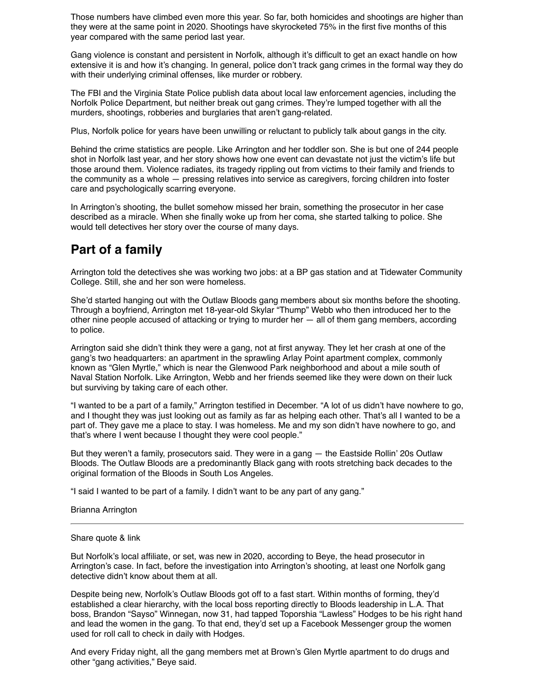Those numbers have climbed even more this year. So far, both homicides and shootings are higher than they were at the same point in 2020. Shootings have skyrocketed 75% in the first five months of this year compared with the same period last year.

Gang violence is constant and persistent in Norfolk, although it's difficult to get an exact handle on how extensive it is and how it's changing. In general, police don't track gang crimes in the formal way they do with their underlying criminal offenses, like murder or robbery.

The FBI and the Virginia State Police publish data about local law enforcement agencies, including the Norfolk Police Department, but neither break out gang crimes. They're lumped together with all the murders, shootings, robberies and burglaries that aren't gang-related.

Plus, Norfolk police for years have been unwilling or reluctant to publicly talk about gangs in the city.

Behind the crime statistics are people. Like Arrington and her toddler son. She is but one of 244 people shot in Norfolk last year, and her story shows how one event can devastate not just the victim's life but those around them. Violence radiates, its tragedy rippling out from victims to their family and friends to the community as a whole — pressing relatives into service as caregivers, forcing children into foster care and psychologically scarring everyone.

In Arrington's shooting, the bullet somehow missed her brain, something the prosecutor in her case described as a miracle. When she finally woke up from her coma, she started talking to police. She would tell detectives her story over the course of many days.

## **Part of a family**

Arrington told the detectives she was working two jobs: at a BP gas station and at Tidewater Community College. Still, she and her son were homeless.

She'd started hanging out with the Outlaw Bloods gang members about six months before the shooting. Through a boyfriend, Arrington met 18-year-old Skylar "Thump" Webb who then introduced her to the other nine people accused of attacking or trying to murder her — all of them gang members, according to police.

Arrington said she didn't think they were a gang, not at first anyway. They let her crash at one of the gang's two headquarters: an apartment in the sprawling Arlay Point apartment complex, commonly known as "Glen Myrtle," which is near the Glenwood Park neighborhood and about a mile south of Naval Station Norfolk. Like Arrington, Webb and her friends seemed like they were down on their luck but surviving by taking care of each other.

"I wanted to be a part of a family," Arrington testified in December. "A lot of us didn't have nowhere to go, and I thought they was just looking out as family as far as helping each other. That's all I wanted to be a part of. They gave me a place to stay. I was homeless. Me and my son didn't have nowhere to go, and that's where I went because I thought they were cool people."

But they weren't a family, prosecutors said. They were in a gang — the Eastside Rollin' 20s Outlaw Bloods. The Outlaw Bloods are a predominantly Black gang with roots stretching back decades to the original formation of the Bloods in South Los Angeles.

"I said I wanted to be part of a family. I didn't want to be any part of any gang."

Brianna Arrington

#### Share quote & link

But Norfolk's local affiliate, or set, was new in 2020, according to Beye, the head prosecutor in Arrington's case. In fact, before the investigation into Arrington's shooting, at least one Norfolk gang detective didn't know about them at all.

Despite being new, Norfolk's Outlaw Bloods got off to a fast start. Within months of forming, they'd established a clear hierarchy, with the local boss reporting directly to Bloods leadership in L.A. That boss, Brandon "Sayso" Winnegan, now 31, had tapped Toporshia "Lawless" Hodges to be his right hand and lead the women in the gang. To that end, they'd set up a Facebook Messenger group the women used for roll call to check in daily with Hodges.

And every Friday night, all the gang members met at Brown's Glen Myrtle apartment to do drugs and other "gang activities," Beye said.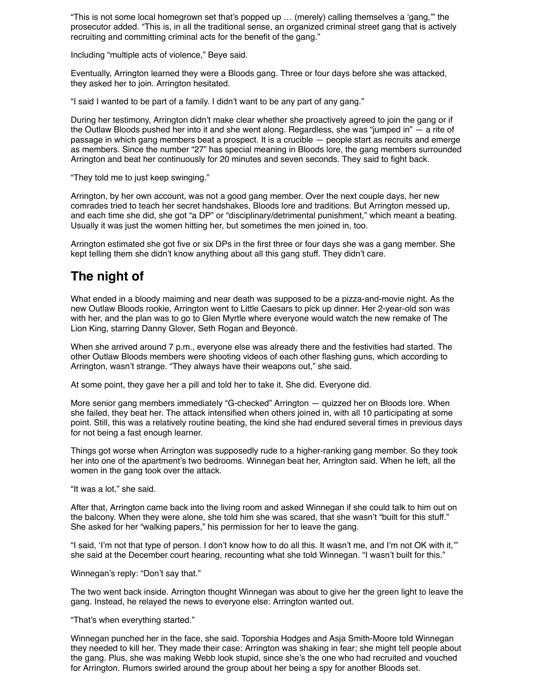"This is not some local homegrown set that's popped up … (merely) calling themselves a 'gang,'" the prosecutor added. "This is, in all the traditional sense, an organized criminal street gang that is actively recruiting and committing criminal acts for the benefit of the gang."

Including "multiple acts of violence," Beye said.

Eventually, Arrington learned they were a Bloods gang. Three or four days before she was attacked, they asked her to join. Arrington hesitated.

"I said I wanted to be part of a family. I didn't want to be any part of any gang."

During her testimony, Arrington didn't make clear whether she proactively agreed to join the gang or if the Outlaw Bloods pushed her into it and she went along. Regardless, she was "jumped in" — a rite of passage in which gang members beat a prospect. It is a crucible — people start as recruits and emerge as members. Since the number "27" has special meaning in Bloods lore, the gang members surrounded Arrington and beat her continuously for 20 minutes and seven seconds. They said to fight back.

"They told me to just keep swinging."

Arrington, by her own account, was not a good gang member. Over the next couple days, her new comrades tried to teach her secret handshakes, Bloods lore and traditions. But Arrington messed up, and each time she did, she got "a DP" or "disciplinary/detrimental punishment," which meant a beating. Usually it was just the women hitting her, but sometimes the men joined in, too.

Arrington estimated she got five or six DPs in the first three or four days she was a gang member. She kept telling them she didn't know anything about all this gang stuff. They didn't care.

### **The night of**

What ended in a bloody maiming and near death was supposed to be a pizza-and-movie night. As the new Outlaw Bloods rookie, Arrington went to Little Caesars to pick up dinner. Her 2-year-old son was with her, and the plan was to go to Glen Myrtle where everyone would watch the new remake of The Lion King, starring Danny Glover, Seth Rogan and Beyoncé.

When she arrived around 7 p.m., everyone else was already there and the festivities had started. The other Outlaw Bloods members were shooting videos of each other flashing guns, which according to Arrington, wasn't strange. "They always have their weapons out," she said.

At some point, they gave her a pill and told her to take it. She did. Everyone did.

More senior gang members immediately "G-checked" Arrington — quizzed her on Bloods lore. When she failed, they beat her. The attack intensified when others joined in, with all 10 participating at some point. Still, this was a relatively routine beating, the kind she had endured several times in previous days for not being a fast enough learner.

Things got worse when Arrington was supposedly rude to a higher-ranking gang member. So they took her into one of the apartment's two bedrooms. Winnegan beat her, Arrington said. When he left, all the women in the gang took over the attack.

"It was a lot," she said.

After that, Arrington came back into the living room and asked Winnegan if she could talk to him out on the balcony. When they were alone, she told him she was scared, that she wasn't "built for this stuff." She asked for her "walking papers," his permission for her to leave the gang.

"I said, 'I'm not that type of person. I don't know how to do all this. It wasn't me, and I'm not OK with it,'" she said at the December court hearing, recounting what she told Winnegan. "I wasn't built for this."

Winnegan's reply: "Don't say that."

The two went back inside. Arrington thought Winnegan was about to give her the green light to leave the gang. Instead, he relayed the news to everyone else: Arrington wanted out.

"That's when everything started."

Winnegan punched her in the face, she said. Toporshia Hodges and Asja Smith-Moore told Winnegan they needed to kill her. They made their case: Arrington was shaking in fear; she might tell people about the gang. Plus, she was making Webb look stupid, since she's the one who had recruited and vouched for Arrington. Rumors swirled around the group about her being a spy for another Bloods set.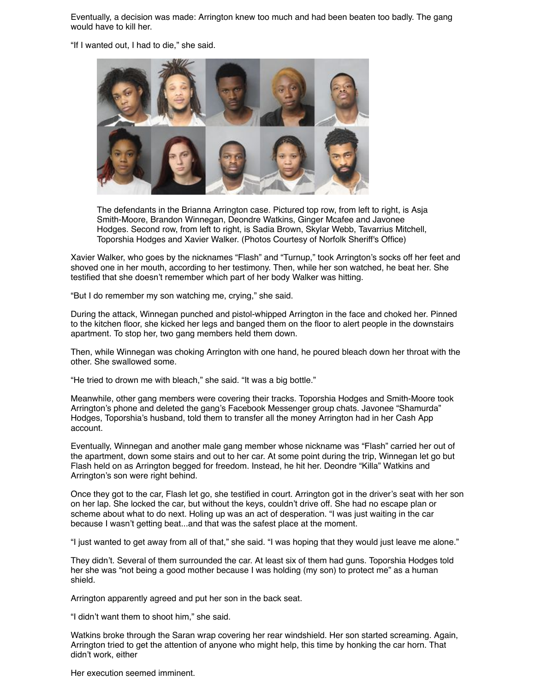Eventually, a decision was made: Arrington knew too much and had been beaten too badly. The gang would have to kill her.

"If I wanted out, I had to die," she said.



The defendants in the Brianna Arrington case. Pictured top row, from left to right, is Asja Smith-Moore, Brandon Winnegan, Deondre Watkins, Ginger Mcafee and Javonee Hodges. Second row, from left to right, is Sadia Brown, Skylar Webb, Tavarrius Mitchell, Toporshia Hodges and Xavier Walker. (Photos Courtesy of Norfolk Sheriff's Office)

Xavier Walker, who goes by the nicknames "Flash" and "Turnup," took Arrington's socks off her feet and shoved one in her mouth, according to her testimony. Then, while her son watched, he beat her. She testified that she doesn't remember which part of her body Walker was hitting.

"But I do remember my son watching me, crying," she said.

During the attack, Winnegan punched and pistol-whipped Arrington in the face and choked her. Pinned to the kitchen floor, she kicked her legs and banged them on the floor to alert people in the downstairs apartment. To stop her, two gang members held them down.

Then, while Winnegan was choking Arrington with one hand, he poured bleach down her throat with the other. She swallowed some.

"He tried to drown me with bleach," she said. "It was a big bottle."

Meanwhile, other gang members were covering their tracks. Toporshia Hodges and Smith-Moore took Arrington's phone and deleted the gang's Facebook Messenger group chats. Javonee "Shamurda" Hodges, Toporshia's husband, told them to transfer all the money Arrington had in her Cash App account.

Eventually, Winnegan and another male gang member whose nickname was "Flash" carried her out of the apartment, down some stairs and out to her car. At some point during the trip, Winnegan let go but Flash held on as Arrington begged for freedom. Instead, he hit her. Deondre "Killa" Watkins and Arrington's son were right behind.

Once they got to the car, Flash let go, she testified in court. Arrington got in the driver's seat with her son on her lap. She locked the car, but without the keys, couldn't drive off. She had no escape plan or scheme about what to do next. Holing up was an act of desperation. "I was just waiting in the car because I wasn't getting beat...and that was the safest place at the moment.

"I just wanted to get away from all of that," she said. "I was hoping that they would just leave me alone."

They didn't. Several of them surrounded the car. At least six of them had guns. Toporshia Hodges told her she was "not being a good mother because I was holding (my son) to protect me" as a human shield.

Arrington apparently agreed and put her son in the back seat.

"I didn't want them to shoot him," she said.

Watkins broke through the Saran wrap covering her rear windshield. Her son started screaming. Again, Arrington tried to get the attention of anyone who might help, this time by honking the car horn. That didn't work, either

Her execution seemed imminent.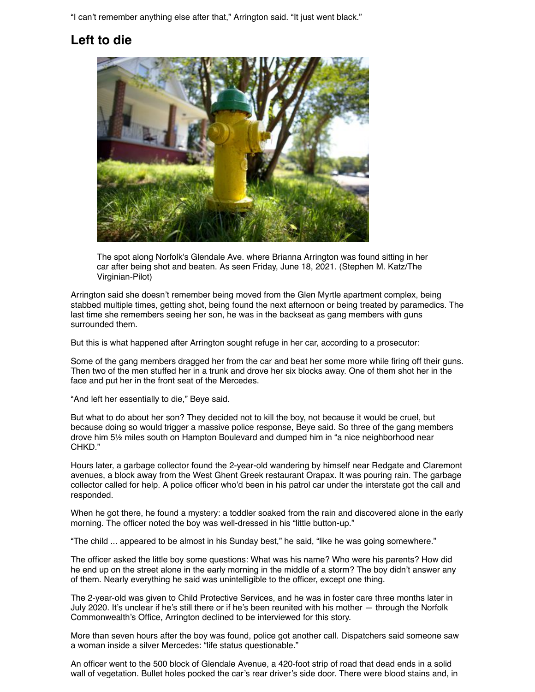"I can't remember anything else after that," Arrington said. "It just went black."

## **Left to die**



The spot along Norfolk's Glendale Ave. where Brianna Arrington was found sitting in her car after being shot and beaten. As seen Friday, June 18, 2021. (Stephen M. Katz/The Virginian-Pilot)

Arrington said she doesn't remember being moved from the Glen Myrtle apartment complex, being stabbed multiple times, getting shot, being found the next afternoon or being treated by paramedics. The last time she remembers seeing her son, he was in the backseat as gang members with guns surrounded them.

But this is what happened after Arrington sought refuge in her car, according to a prosecutor:

Some of the gang members dragged her from the car and beat her some more while firing off their guns. Then two of the men stuffed her in a trunk and drove her six blocks away. One of them shot her in the face and put her in the front seat of the Mercedes.

"And left her essentially to die," Beye said.

But what to do about her son? They decided not to kill the boy, not because it would be cruel, but because doing so would trigger a massive police response, Beye said. So three of the gang members drove him 5½ miles south on Hampton Boulevard and dumped him in "a nice neighborhood near CHKD."

Hours later, a garbage collector found the 2-year-old wandering by himself near Redgate and Claremont avenues, a block away from the West Ghent Greek restaurant Orapax. It was pouring rain. The garbage collector called for help. A police officer who'd been in his patrol car under the interstate got the call and responded.

When he got there, he found a mystery: a toddler soaked from the rain and discovered alone in the early morning. The officer noted the boy was well-dressed in his "little button-up."

"The child ... appeared to be almost in his Sunday best," he said, "like he was going somewhere."

The officer asked the little boy some questions: What was his name? Who were his parents? How did he end up on the street alone in the early morning in the middle of a storm? The boy didn't answer any of them. Nearly everything he said was unintelligible to the officer, except one thing.

The 2-year-old was given to Child Protective Services, and he was in foster care three months later in July 2020. It's unclear if he's still there or if he's been reunited with his mother — through the Norfolk Commonwealth's Office, Arrington declined to be interviewed for this story.

More than seven hours after the boy was found, police got another call. Dispatchers said someone saw a woman inside a silver Mercedes: "life status questionable."

An officer went to the 500 block of Glendale Avenue, a 420-foot strip of road that dead ends in a solid wall of vegetation. Bullet holes pocked the car's rear driver's side door. There were blood stains and, in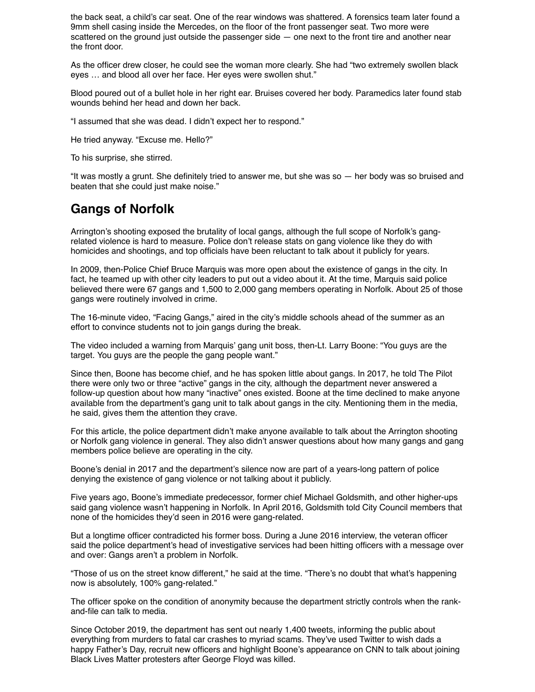the back seat, a child's car seat. One of the rear windows was shattered. A forensics team later found a 9mm shell casing inside the Mercedes, on the floor of the front passenger seat. Two more were scattered on the ground just outside the passenger side  $-$  one next to the front tire and another near the front door.

As the officer drew closer, he could see the woman more clearly. She had "two extremely swollen black eyes … and blood all over her face. Her eyes were swollen shut."

Blood poured out of a bullet hole in her right ear. Bruises covered her body. Paramedics later found stab wounds behind her head and down her back.

"I assumed that she was dead. I didn't expect her to respond."

He tried anyway. "Excuse me. Hello?"

To his surprise, she stirred.

"It was mostly a grunt. She definitely tried to answer me, but she was so — her body was so bruised and beaten that she could just make noise."

#### **Gangs of Norfolk**

Arrington's shooting exposed the brutality of local gangs, although the full scope of Norfolk's gangrelated violence is hard to measure. Police don't release stats on gang violence like they do with homicides and shootings, and top officials have been reluctant to talk about it publicly for years.

In 2009, then-Police Chief Bruce Marquis was more open about the existence of gangs in the city. In fact, he teamed up with other city leaders to put out a video about it. At the time, Marquis said police believed there were 67 gangs and 1,500 to 2,000 gang members operating in Norfolk. About 25 of those gangs were routinely involved in crime.

The 16-minute video, "Facing Gangs," aired in the city's middle schools ahead of the summer as an effort to convince students not to join gangs during the break.

The video included a warning from Marquis' gang unit boss, then-Lt. Larry Boone: "You guys are the target. You guys are the people the gang people want."

Since then, Boone has become chief, and he has spoken little about gangs. In 2017, he told The Pilot there were only two or three "active" gangs in the city, although the department never answered a follow-up question about how many "inactive" ones existed. Boone at the time declined to make anyone available from the department's gang unit to talk about gangs in the city. Mentioning them in the media, he said, gives them the attention they crave.

For this article, the police department didn't make anyone available to talk about the Arrington shooting or Norfolk gang violence in general. They also didn't answer questions about how many gangs and gang members police believe are operating in the city.

Boone's denial in 2017 and the department's silence now are part of a years-long pattern of police denying the existence of gang violence or not talking about it publicly.

Five years ago, Boone's immediate predecessor, former chief Michael Goldsmith, and other higher-ups said gang violence wasn't happening in Norfolk. In April 2016, Goldsmith told City Council members that none of the homicides they'd seen in 2016 were gang-related.

But a longtime officer contradicted his former boss. During a June 2016 interview, the veteran officer said the police department's head of investigative services had been hitting officers with a message over and over: Gangs aren't a problem in Norfolk.

"Those of us on the street know different," he said at the time. "There's no doubt that what's happening now is absolutely, 100% gang-related."

The officer spoke on the condition of anonymity because the department strictly controls when the rankand-file can talk to media.

Since October 2019, the department has sent out nearly 1,400 tweets, informing the public about everything from murders to fatal car crashes to myriad scams. They've used Twitter to wish dads a happy Father's Day, recruit new officers and highlight Boone's appearance on CNN to talk about joining Black Lives Matter protesters after George Floyd was killed.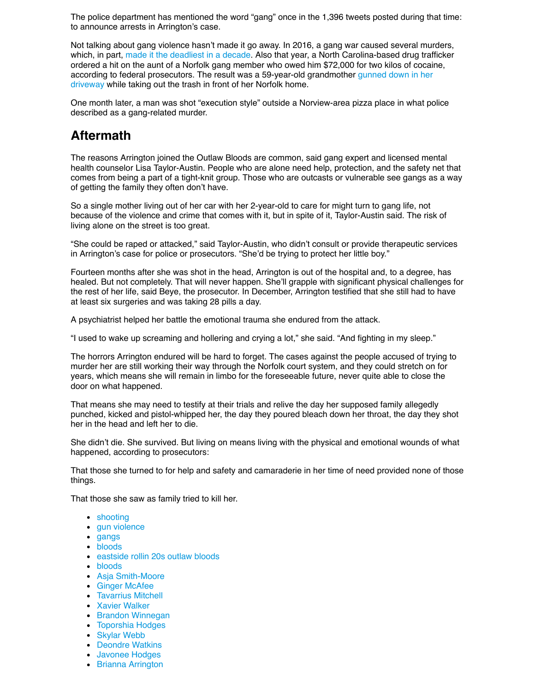The police department has mentioned the word "gang" once in the 1,396 tweets posted during that time: to announce arrests in Arrington's case.

Not talking about gang violence hasn't made it go away. In 2016, a gang war caused several murders, which, in part, [made it the deadliest in a decade.](https://www.pilotonline.com/news/crime/article_fa3b1a9e-0107-545d-a30e-9f1d17b03f5c.html) Also that year, a North Carolina-based drug trafficker ordered a hit on the aunt of a Norfolk gang member who owed him \$72,000 for two kilos of cocaine, [according to federal prosecutors. The result was a 59-year-old grandmother gunned down in her](https://www.pilotonline.com/news/crime/article_5f396db2-7384-5595-8e72-d3d5e98ec149.html) driveway while taking out the trash in front of her Norfolk home.

One month later, a man was shot "execution style" outside a Norview-area pizza place in what police described as a gang-related murder.

## **Aftermath**

The reasons Arrington joined the Outlaw Bloods are common, said gang expert and licensed mental health counselor Lisa Taylor-Austin. People who are alone need help, protection, and the safety net that comes from being a part of a tight-knit group. Those who are outcasts or vulnerable see gangs as a way of getting the family they often don't have.

So a single mother living out of her car with her 2-year-old to care for might turn to gang life, not because of the violence and crime that comes with it, but in spite of it, Taylor-Austin said. The risk of living alone on the street is too great.

"She could be raped or attacked," said Taylor-Austin, who didn't consult or provide therapeutic services in Arrington's case for police or prosecutors. "She'd be trying to protect her little boy."

Fourteen months after she was shot in the head, Arrington is out of the hospital and, to a degree, has healed. But not completely. That will never happen. She'll grapple with significant physical challenges for the rest of her life, said Beye, the prosecutor. In December, Arrington testified that she still had to have at least six surgeries and was taking 28 pills a day.

A psychiatrist helped her battle the emotional trauma she endured from the attack.

"I used to wake up screaming and hollering and crying a lot," she said. "And fighting in my sleep."

The horrors Arrington endured will be hard to forget. The cases against the people accused of trying to murder her are still working their way through the Norfolk court system, and they could stretch on for years, which means she will remain in limbo for the foreseeable future, never quite able to close the door on what happened.

That means she may need to testify at their trials and relive the day her supposed family allegedly punched, kicked and pistol-whipped her, the day they poured bleach down her throat, the day they shot her in the head and left her to die.

She didn't die. She survived. But living on means living with the physical and emotional wounds of what happened, according to prosecutors:

That those she turned to for help and safety and camaraderie in her time of need provided none of those things.

That those she saw as family tried to kill her.

- [shooting](https://www.pilotonline.com/topic/shooting-topic.html#nt=taxonomy-article-inbody)
- [gun violence](https://www.pilotonline.com/topic/gun-violence-topic.html#nt=taxonomy-article-inbody)
- [gangs](https://www.pilotonline.com/topic/gangs-topic.html#nt=taxonomy-article-inbody)
- [bloods](https://www.pilotonline.com/topic/bloods-topic.html#nt=taxonomy-article-inbody)
- [eastside rollin 20s outlaw bloods](https://www.pilotonline.com/topic/eastside-rollin-20s-outlaw-bloods-topic.html#nt=taxonomy-article-inbody)
- [bloods](https://www.pilotonline.com/topic/bloods-topic.html#nt=taxonomy-article-inbody)
- [Asja Smith-Moore](https://www.pilotonline.com/topic/asja-smith-moore-topic.html#nt=taxonomy-article-inbody)
- [Ginger McAfee](https://www.pilotonline.com/topic/ginger-mcafee-topic.html#nt=taxonomy-article-inbody)
- [Tavarrius Mitchell](https://www.pilotonline.com/topic/tavarrius-mitchell-topic.html#nt=taxonomy-article-inbody)
- [Xavier Walker](https://www.pilotonline.com/topic/xavier-walker-topic.html#nt=taxonomy-article-inbody)
- [Brandon Winnegan](https://www.pilotonline.com/topic/brandon-winnegan-topic.html#nt=taxonomy-article-inbody)
- [Toporshia Hodges](https://www.pilotonline.com/topic/toporshia-hodges-topic.html#nt=taxonomy-article-inbody)
- [Skylar Webb](https://www.pilotonline.com/topic/skylar-webb-topic.html#nt=taxonomy-article-inbody)
- [Deondre Watkins](https://www.pilotonline.com/topic/deondre-watkins-topic.html#nt=taxonomy-article-inbody)
- [Javonee Hodges](https://www.pilotonline.com/topic/javonee-hodges-topic.html#nt=taxonomy-article-inbody)
- [Brianna Arrington](https://www.pilotonline.com/topic/brianna-arrington-topic.html#nt=taxonomy-article-inbody)